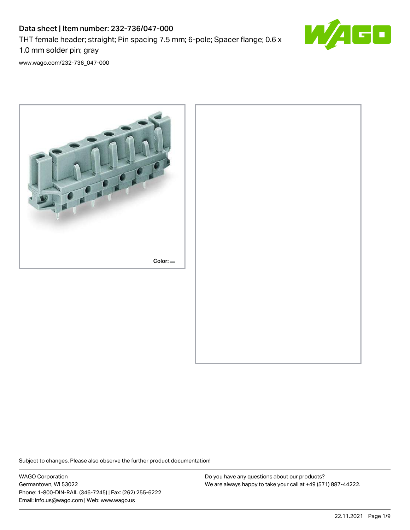# Data sheet | Item number: 232-736/047-000 THT female header; straight; Pin spacing 7.5 mm; 6-pole; Spacer flange; 0.6 x 1.0 mm solder pin; gray



[www.wago.com/232-736\\_047-000](http://www.wago.com/232-736_047-000)



Subject to changes. Please also observe the further product documentation!

WAGO Corporation Germantown, WI 53022 Phone: 1-800-DIN-RAIL (346-7245) | Fax: (262) 255-6222 Email: info.us@wago.com | Web: www.wago.us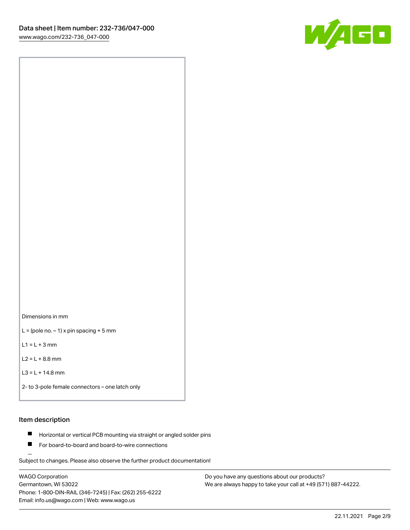

Dimensions in mm

 $L =$  (pole no.  $-1$ ) x pin spacing + 5 mm

 $L1 = L + 3$  mm

 $L2 = L + 8.8$  mm

```
L3 = L + 14.8 mm
```
2- to 3-pole female connectors – one latch only

#### Item description

- **Horizontal or vertical PCB mounting via straight or angled solder pins**
- For board-to-board and board-to-wire connections

Subject to changes. Please also observe the further product documentation!

WAGO Corporation Germantown, WI 53022 Phone: 1-800-DIN-RAIL (346-7245) | Fax: (262) 255-6222 Email: info.us@wago.com | Web: www.wago.us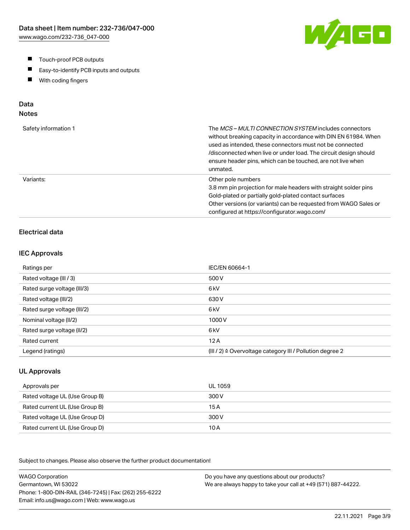- $\blacksquare$ Touch-proof PCB outputs
- $\blacksquare$ Easy-to-identify PCB inputs and outputs
- With coding fingers  $\blacksquare$

# Data

# Notes

| Safety information 1 | The <i>MCS – MULTI CONNECTION SYSTEM</i> includes connectors<br>without breaking capacity in accordance with DIN EN 61984. When<br>used as intended, these connectors must not be connected<br>/disconnected when live or under load. The circuit design should<br>ensure header pins, which can be touched, are not live when<br>unmated. |
|----------------------|--------------------------------------------------------------------------------------------------------------------------------------------------------------------------------------------------------------------------------------------------------------------------------------------------------------------------------------------|
| Variants:            | Other pole numbers<br>3.8 mm pin projection for male headers with straight solder pins<br>Gold-plated or partially gold-plated contact surfaces<br>Other versions (or variants) can be requested from WAGO Sales or<br>configured at https://configurator.wago.com/                                                                        |

## Electrical data

#### IEC Approvals

| Ratings per                 | IEC/EN 60664-1                                                       |
|-----------------------------|----------------------------------------------------------------------|
| Rated voltage (III / 3)     | 500 V                                                                |
| Rated surge voltage (III/3) | 6 <sub>kV</sub>                                                      |
| Rated voltage (III/2)       | 630 V                                                                |
| Rated surge voltage (III/2) | 6 <sub>kV</sub>                                                      |
| Nominal voltage (II/2)      | 1000V                                                                |
| Rated surge voltage (II/2)  | 6 <sub>k</sub> V                                                     |
| Rated current               | 12A                                                                  |
| Legend (ratings)            | (III / 2) $\triangleq$ Overvoltage category III / Pollution degree 2 |

#### UL Approvals

| Approvals per                  | UL 1059 |
|--------------------------------|---------|
| Rated voltage UL (Use Group B) | 300 V   |
| Rated current UL (Use Group B) | 15 A    |
| Rated voltage UL (Use Group D) | 300 V   |
| Rated current UL (Use Group D) | 10 A    |

Subject to changes. Please also observe the further product documentation!

WAGO Corporation Germantown, WI 53022 Phone: 1-800-DIN-RAIL (346-7245) | Fax: (262) 255-6222 Email: info.us@wago.com | Web: www.wago.us Do you have any questions about our products? We are always happy to take your call at +49 (571) 887-44222.

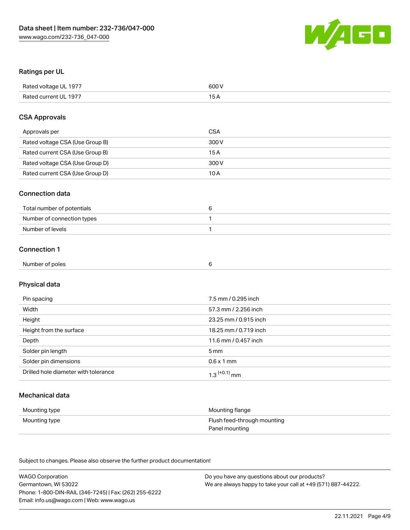

## Ratings per UL

| Rated voltage UL 1977 | 600 V |
|-----------------------|-------|
| Rated current UL 1977 |       |

#### CSA Approvals

| Approvals per                   | <b>CSA</b> |
|---------------------------------|------------|
| Rated voltage CSA (Use Group B) | 300 V      |
| Rated current CSA (Use Group B) | 15 A       |
| Rated voltage CSA (Use Group D) | 300 V      |
| Rated current CSA (Use Group D) | 10 A       |

#### Connection data

| Total number of potentials |  |
|----------------------------|--|
| Number of connection types |  |
| Number of levels           |  |

#### Connection 1

| Number of poles |  |
|-----------------|--|
|                 |  |

# Physical data

| Pin spacing                          | 7.5 mm / 0.295 inch   |
|--------------------------------------|-----------------------|
| Width                                | 57.3 mm / 2.256 inch  |
| Height                               | 23.25 mm / 0.915 inch |
| Height from the surface              | 18.25 mm / 0.719 inch |
| Depth                                | 11.6 mm / 0.457 inch  |
| Solder pin length                    | 5 mm                  |
| Solder pin dimensions                | $0.6 \times 1$ mm     |
| Drilled hole diameter with tolerance | $1.3$ $(+0.1)$ mm     |

## Mechanical data

| Mounting type | Mounting flange             |
|---------------|-----------------------------|
| Mounting type | Flush feed-through mounting |
|               | Panel mounting              |

Subject to changes. Please also observe the further product documentation!

| <b>WAGO Corporation</b>                                | Do you have any questions about our products?                 |
|--------------------------------------------------------|---------------------------------------------------------------|
| Germantown, WI 53022                                   | We are always happy to take your call at +49 (571) 887-44222. |
| Phone: 1-800-DIN-RAIL (346-7245)   Fax: (262) 255-6222 |                                                               |
| Email: info.us@wago.com   Web: www.wago.us             |                                                               |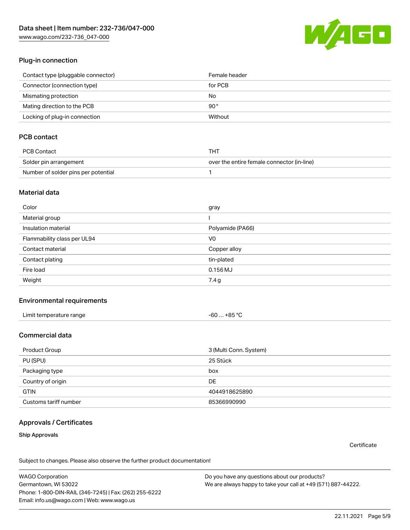[www.wago.com/232-736\\_047-000](http://www.wago.com/232-736_047-000)



#### Plug-in connection

| Contact type (pluggable connector) | Female header |
|------------------------------------|---------------|
| Connector (connection type)        | for PCB       |
| Mismating protection               | No            |
| Mating direction to the PCB        | 90 °          |
| Locking of plug-in connection      | Without       |

## PCB contact

| PCB Contact                         | THT                                        |
|-------------------------------------|--------------------------------------------|
| Solder pin arrangement              | over the entire female connector (in-line) |
| Number of solder pins per potential |                                            |

#### Material data

| Color                       | gray             |
|-----------------------------|------------------|
| Material group              |                  |
| Insulation material         | Polyamide (PA66) |
| Flammability class per UL94 | V <sub>0</sub>   |
| Contact material            | Copper alloy     |
| Contact plating             | tin-plated       |
| Fire load                   | $0.156$ MJ       |
| Weight                      | 7.4 g            |

#### Environmental requirements

| Limit temperature range | $-60+85 °C$ |
|-------------------------|-------------|
|-------------------------|-------------|

## Commercial data

| Product Group         | 3 (Multi Conn. System) |
|-----------------------|------------------------|
| PU (SPU)              | 25 Stück               |
| Packaging type        | box                    |
| Country of origin     | DE                     |
| <b>GTIN</b>           | 4044918625890          |
| Customs tariff number | 85366990990            |

#### Approvals / Certificates

#### Ship Approvals

**Certificate** 

Subject to changes. Please also observe the further product documentation!

WAGO Corporation Germantown, WI 53022 Phone: 1-800-DIN-RAIL (346-7245) | Fax: (262) 255-6222 Email: info.us@wago.com | Web: www.wago.us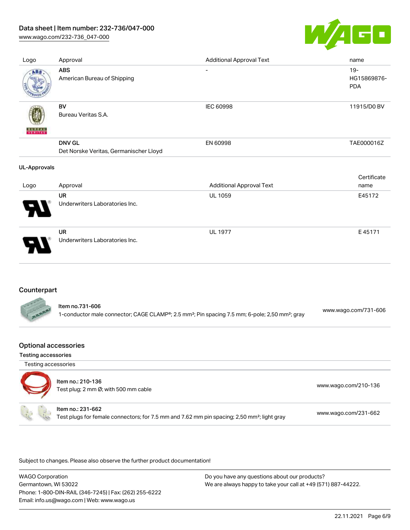[www.wago.com/232-736\\_047-000](http://www.wago.com/232-736_047-000)



| Logo                | Approval                                                | <b>Additional Approval Text</b> | name                                |
|---------------------|---------------------------------------------------------|---------------------------------|-------------------------------------|
| ABS                 | <b>ABS</b><br>American Bureau of Shipping               | $\overline{\phantom{0}}$        | $19 -$<br>HG15869876-<br><b>PDA</b> |
| VERITAS             | BV<br>Bureau Veritas S.A.                               | IEC 60998                       | 11915/D0 BV                         |
|                     | <b>DNV GL</b><br>Det Norske Veritas, Germanischer Lloyd | EN 60998                        | TAE000016Z                          |
|                     |                                                         |                                 |                                     |
| <b>UL-Approvals</b> |                                                         |                                 |                                     |
|                     |                                                         |                                 | Certificate                         |
| Logo                | Approval                                                | <b>Additional Approval Text</b> | name                                |
|                     | <b>UR</b><br>Underwriters Laboratories Inc.             | <b>UL 1059</b>                  | E45172                              |

### Counterpart

| ltem no.731-606                                                                                                        |                      |
|------------------------------------------------------------------------------------------------------------------------|----------------------|
| 1-conductor male connector; CAGE CLAMP®; 2.5 mm <sup>2</sup> ; Pin spacing 7.5 mm; 6-pole; 2,50 mm <sup>2</sup> ; gray | www.wago.com/731-606 |

#### Optional accessories

#### Testing accessories

| Testing accessories |                                                                                                                              |                      |
|---------------------|------------------------------------------------------------------------------------------------------------------------------|----------------------|
|                     | Item no.: 210-136<br>Test plug; 2 mm Ø; with 500 mm cable                                                                    | www.wago.com/210-136 |
|                     | Item no.: 231-662<br>Test plugs for female connectors; for 7.5 mm and 7.62 mm pin spacing; 2,50 mm <sup>2</sup> ; light gray | www.wago.com/231-662 |

Subject to changes. Please also observe the further product documentation!

WAGO Corporation Germantown, WI 53022 Phone: 1-800-DIN-RAIL (346-7245) | Fax: (262) 255-6222 Email: info.us@wago.com | Web: www.wago.us Do you have any questions about our products? We are always happy to take your call at +49 (571) 887-44222.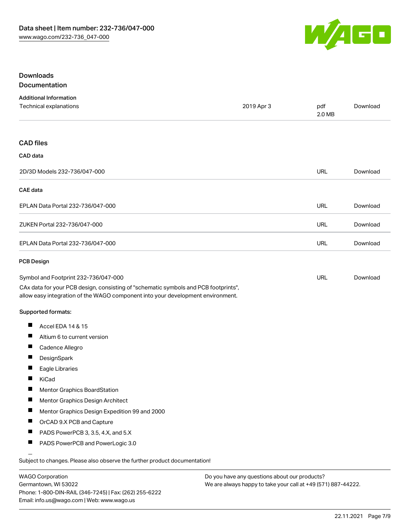

## Downloads Documentation

| <b>Additional Information</b><br>Technical explanations                                                                                                                | 2019 Apr 3 | pdf<br>2.0 MB | Download |
|------------------------------------------------------------------------------------------------------------------------------------------------------------------------|------------|---------------|----------|
|                                                                                                                                                                        |            |               |          |
| <b>CAD files</b>                                                                                                                                                       |            |               |          |
| CAD data                                                                                                                                                               |            |               |          |
| 2D/3D Models 232-736/047-000                                                                                                                                           |            | <b>URL</b>    | Download |
| <b>CAE</b> data                                                                                                                                                        |            |               |          |
| EPLAN Data Portal 232-736/047-000                                                                                                                                      |            | <b>URL</b>    | Download |
| ZUKEN Portal 232-736/047-000                                                                                                                                           |            | <b>URL</b>    | Download |
| EPLAN Data Portal 232-736/047-000                                                                                                                                      |            | <b>URL</b>    | Download |
| <b>PCB Design</b>                                                                                                                                                      |            |               |          |
| Symbol and Footprint 232-736/047-000                                                                                                                                   |            | <b>URL</b>    | Download |
| CAx data for your PCB design, consisting of "schematic symbols and PCB footprints",<br>allow easy integration of the WAGO component into your development environment. |            |               |          |
| Supported formats:                                                                                                                                                     |            |               |          |
| ш<br>Accel EDA 14 & 15                                                                                                                                                 |            |               |          |
| ш<br>Altium 6 to current version                                                                                                                                       |            |               |          |
| ш<br>Cadence Allegro                                                                                                                                                   |            |               |          |
| ш<br>DesignSpark                                                                                                                                                       |            |               |          |
| ш<br>Eagle Libraries                                                                                                                                                   |            |               |          |
| KiCad                                                                                                                                                                  |            |               |          |
| Mentor Graphics BoardStation                                                                                                                                           |            |               |          |
| a ka<br>Mentor Graphics Design Architect                                                                                                                               |            |               |          |
| Mentor Graphics Design Expedition 99 and 2000                                                                                                                          |            |               |          |
| OrCAD 9.X PCB and Capture                                                                                                                                              |            |               |          |
| П<br>PADS PowerPCB 3, 3.5, 4.X, and 5.X                                                                                                                                |            |               |          |
| ш<br>PADS PowerPCB and PowerLogic 3.0                                                                                                                                  |            |               |          |

Subject to changes. Please also observe the further product documentation!

WAGO Corporation Germantown, WI 53022 Phone: 1-800-DIN-RAIL (346-7245) | Fax: (262) 255-6222 Email: info.us@wago.com | Web: www.wago.us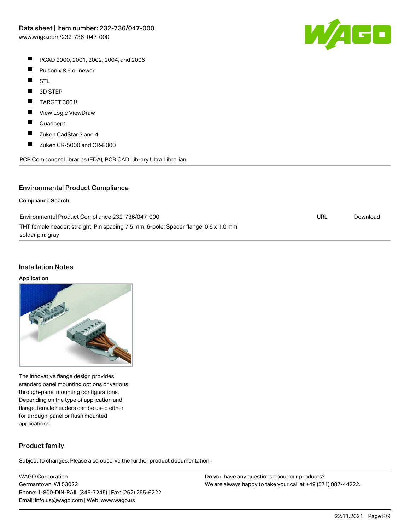W/160

- PCAD 2000, 2001, 2002, 2004, and 2006
- $\blacksquare$ Pulsonix 8.5 or newer
- $\blacksquare$ STL
- $\blacksquare$ 3D STEP
- $\blacksquare$ TARGET 3001!
- $\blacksquare$ View Logic ViewDraw
- $\blacksquare$ Quadcept
- $\blacksquare$ Zuken CadStar 3 and 4
- $\blacksquare$ Zuken CR-5000 and CR-8000

PCB Component Libraries (EDA), PCB CAD Library Ultra Librarian

#### Environmental Product Compliance

#### Compliance Search

| Environmental Product Compliance 232-736/047-000                                     | URL | Download |
|--------------------------------------------------------------------------------------|-----|----------|
| THT female header; straight; Pin spacing 7.5 mm; 6-pole; Spacer flange; 0.6 x 1.0 mm |     |          |
| solder pin; gray                                                                     |     |          |

#### Installation Notes

#### Application

The innovative flange design provides standard panel mounting options or various through-panel mounting configurations. Depending on the type of application and flange, female headers can be used either for through-panel or flush mounted applications.

#### Product family

Subject to changes. Please also observe the further product documentation!

WAGO Corporation Germantown, WI 53022 Phone: 1-800-DIN-RAIL (346-7245) | Fax: (262) 255-6222 Email: info.us@wago.com | Web: www.wago.us